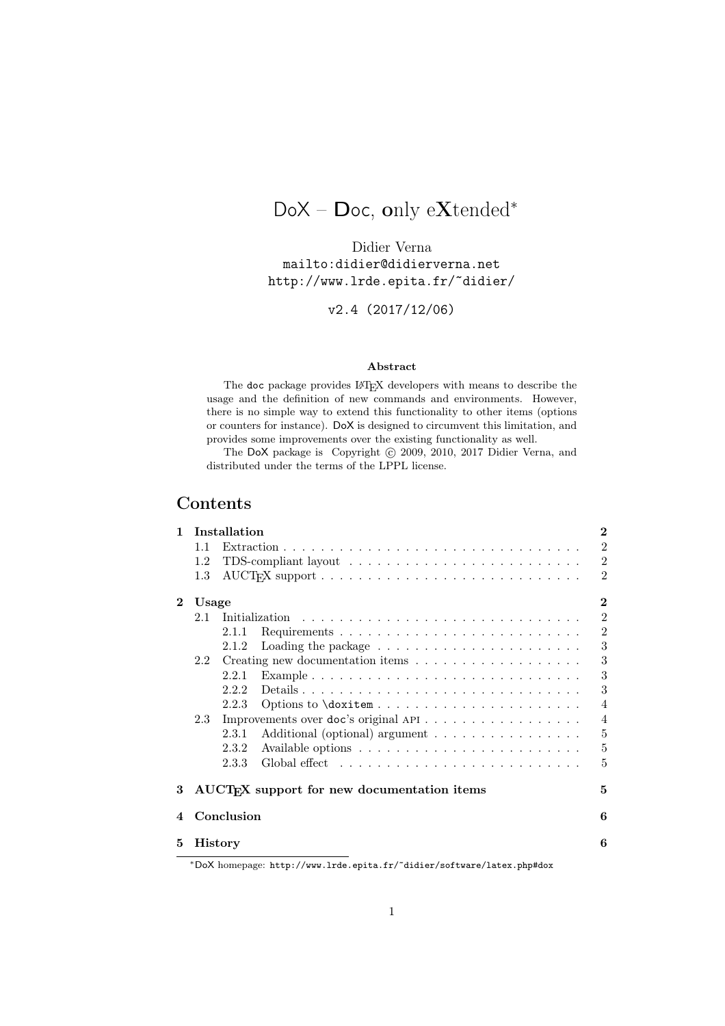# DoX – Doc, only eXtended<sup>∗</sup>

Didier Verna mailto:didier@didierverna.net http://www.lrde.epita.fr/˜didier/

v2.4 (2017/12/06)

### Abstract

The doc package provides L<sup>AT</sup>EX developers with means to describe the usage and the definition of new commands and environments. However, there is no simple way to extend this functionality to other items (options or counters for instance). DoX is designed to circumvent this limitation, and provides some improvements over the existing functionality as well.

The DoX package is Copyright © 2009, 2010, 2017 Didier Verna, and distributed under the terms of the LPPL license.

## Contents

| 1        | Installation      |                                                                                            |                |  |  |  |  |
|----------|-------------------|--------------------------------------------------------------------------------------------|----------------|--|--|--|--|
|          | 11                |                                                                                            | $\overline{2}$ |  |  |  |  |
|          | 1.2               |                                                                                            | $\overline{2}$ |  |  |  |  |
|          | 1.3               | $\text{AUCT}_F X$ support $\ldots \ldots \ldots \ldots \ldots \ldots \ldots \ldots \ldots$ | $\mathfrak{D}$ |  |  |  |  |
| $\bf{2}$ | $\bf{2}$<br>Usage |                                                                                            |                |  |  |  |  |
|          |                   |                                                                                            | $\overline{2}$ |  |  |  |  |
|          |                   | 2.1.1                                                                                      | $\overline{2}$ |  |  |  |  |
|          |                   | Loading the package $\ldots \ldots \ldots \ldots \ldots \ldots \ldots$<br>2.1.2            | 3              |  |  |  |  |
|          | 2.2               |                                                                                            | 3              |  |  |  |  |
|          |                   | 2.2.1                                                                                      | 3              |  |  |  |  |
|          |                   | 2.2.2                                                                                      | 3              |  |  |  |  |
|          |                   | 2.2.3                                                                                      | $\overline{4}$ |  |  |  |  |
|          | 2.3               | Improvements over doc's original API                                                       | $\overline{4}$ |  |  |  |  |
|          |                   | 2.3.1<br>Additional (optional) argument                                                    | 5              |  |  |  |  |
|          |                   | 2.3.2                                                                                      | $\overline{5}$ |  |  |  |  |
|          |                   | 2.3.3                                                                                      | 5              |  |  |  |  |
| 3        |                   | AUCT <sub>R</sub> X support for new documentation items                                    | 5              |  |  |  |  |
| 4        | Conclusion        |                                                                                            |                |  |  |  |  |
| 5        | <b>History</b>    |                                                                                            |                |  |  |  |  |
|          |                   | *DoX homepage: http://www.lrde.epita.fr/~didier/software/latex.php#dox                     |                |  |  |  |  |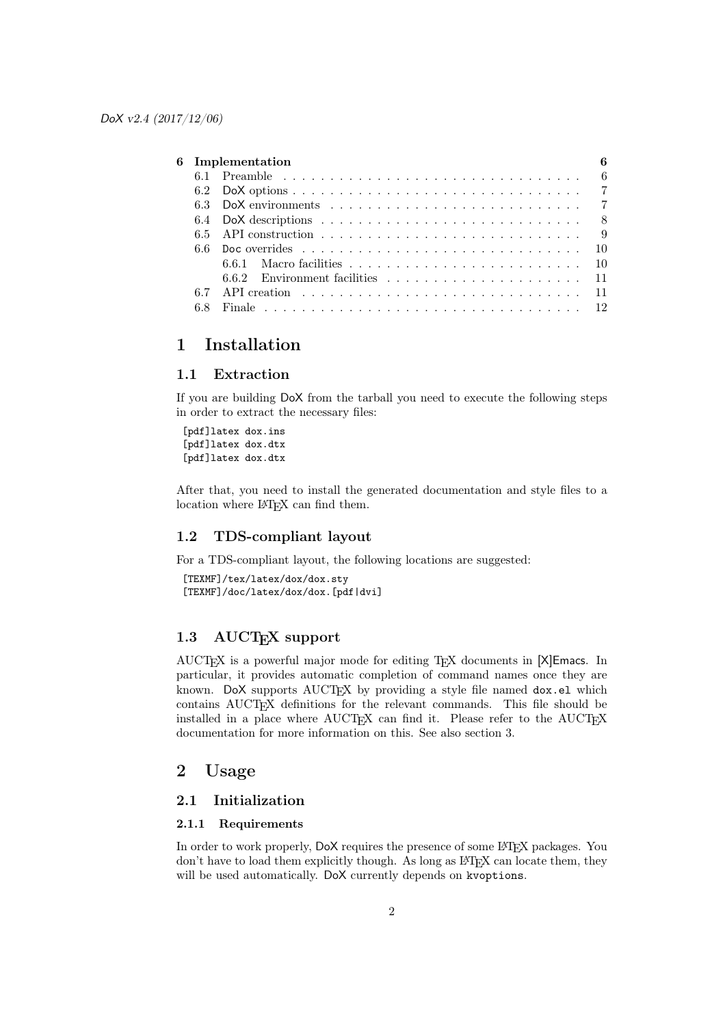|  | 6<br>6 Implementation |  |  |  |
|--|-----------------------|--|--|--|
|  |                       |  |  |  |
|  |                       |  |  |  |
|  |                       |  |  |  |
|  |                       |  |  |  |
|  |                       |  |  |  |
|  |                       |  |  |  |
|  |                       |  |  |  |
|  |                       |  |  |  |
|  |                       |  |  |  |
|  |                       |  |  |  |
|  |                       |  |  |  |

## 1 Installation

### 1.1 Extraction

If you are building DoX from the tarball you need to execute the following steps in order to extract the necessary files:

[pdf]latex dox.ins [pdf]latex dox.dtx [pdf]latex dox.dtx

After that, you need to install the generated documentation and style files to a location where L<sup>AT</sup>FX can find them.

### 1.2 TDS-compliant layout

For a TDS-compliant layout, the following locations are suggested:

```
[TEXMF]/tex/latex/dox/dox.sty
[TEXMF]/doc/latex/dox/dox.[pdf|dvi]
```
## 1.3 AUCT<sub>E</sub>X support

AUCTEX is a powerful major mode for editing TEX documents in [X]Emacs. In particular, it provides automatic completion of command names once they are known. DoX supports  $\text{AUCTrX}$  by providing a style file named  $\text{dox}.$  e1 which contains AUCTEX definitions for the relevant commands. This file should be installed in a place where AUCTEX can find it. Please refer to the AUCTEX documentation for more information on this. See also section 3.

## 2 Usage

### 2.1 Initialization

### 2.1.1 Requirements

In order to work properly,  $DoX$  requires the presence of some L<sup>AT</sup>EX packages. You  $\gamma$  don't have to load them explicitly though. As long as LAT<sub>EX</sub> can locate them, they will be used automatically. DoX currently depends on kvoptions.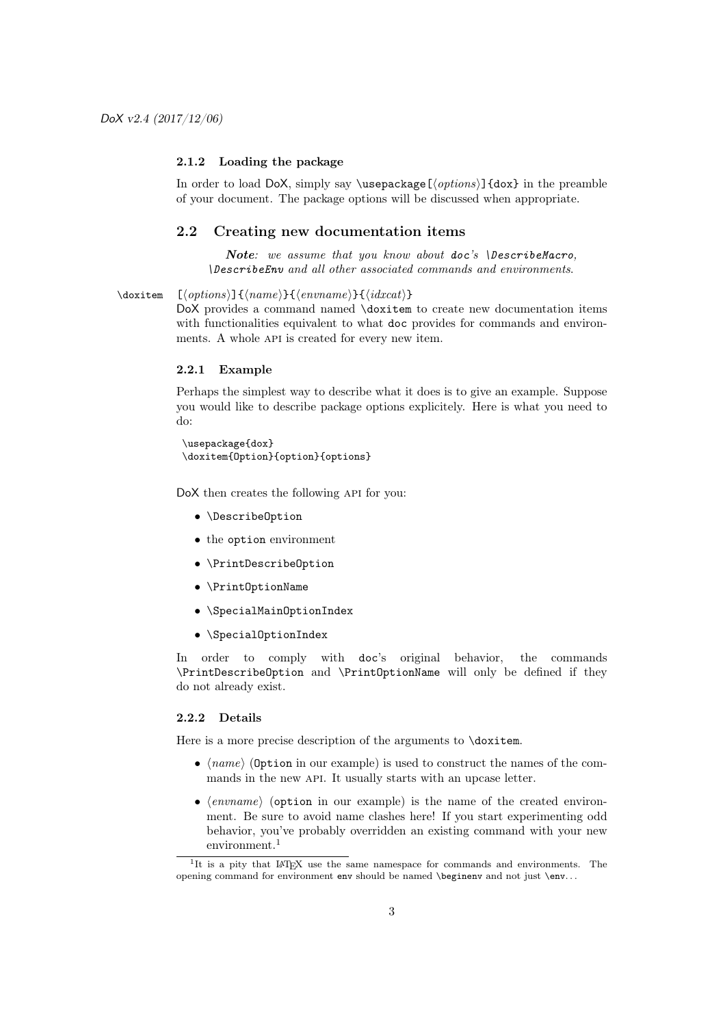#### 2.1.2 Loading the package

In order to load DoX, simply say  $\text{log}(options)$  {dox} in the preamble of your document. The package options will be discussed when appropriate.

### 2.2 Creating new documentation items

Note*: we assume that you know about* doc*'s* \DescribeMacro*,* \DescribeEnv *and all other associated commands and environments*.

#### \doxitem  $[\langle options \rangle] {\langle name \rangle}{\langle enum \rangle} {\langle}idxcat \rangle}$

DoX provides a command named \doxitem to create new documentation items with functionalities equivalent to what doc provides for commands and environments. A whole API is created for every new item.

### 2.2.1 Example

Perhaps the simplest way to describe what it does is to give an example. Suppose you would like to describe package options explicitely. Here is what you need to do:

```
\usepackage{dox}
\doxitem{Option}{option}{options}
```
DoX then creates the following API for you:

- \DescribeOption
- the option environment
- \PrintDescribeOption
- \PrintOptionName
- \SpecialMainOptionIndex
- \SpecialOptionIndex

In order to comply with doc's original behavior, the commands \PrintDescribeOption and \PrintOptionName will only be defined if they do not already exist.

#### 2.2.2 Details

Here is a more precise description of the arguments to  $\dot{\alpha}$ .

- $\langle name \rangle$  (Option in our example) is used to construct the names of the commands in the new API. It usually starts with an upcase letter.
- (envname) (option in our example) is the name of the created environment. Be sure to avoid name clashes here! If you start experimenting odd behavior, you've probably overridden an existing command with your new environment.<sup>1</sup>

 $^1\mathrm{It}$  is a pity that LAT<sub>E</sub>X use the same namespace for commands and environments. The opening command for environment env should be named \beginenv and not just \env. . .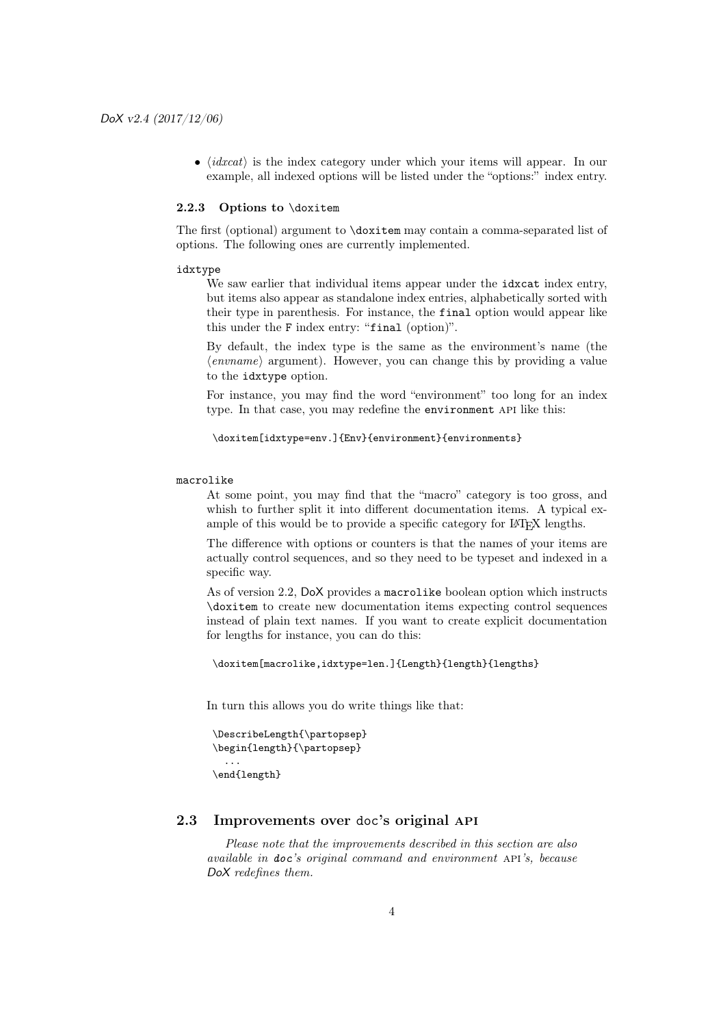$\bullet$   $\langle$ *idxcat* $\rangle$  is the index category under which your items will appear. In our example, all indexed options will be listed under the "options:" index entry.

#### 2.2.3 Options to \doxitem

The first (optional) argument to \doxitem may contain a comma-separated list of options. The following ones are currently implemented.

#### idxtype

We saw earlier that individual items appear under the idxcat index entry, but items also appear as standalone index entries, alphabetically sorted with their type in parenthesis. For instance, the final option would appear like this under the F index entry: "final (option)".

By default, the index type is the same as the environment's name (the  $\langle \text{enumame} \rangle$  argument). However, you can change this by providing a value to the idxtype option.

For instance, you may find the word "environment" too long for an index type. In that case, you may redefine the environment API like this:

```
\doxitem[idxtype=env.]{Env}{environment}{environments}
```
#### macrolike

At some point, you may find that the "macro" category is too gross, and whish to further split it into different documentation items. A typical example of this would be to provide a specific category for LATEX lengths.

The difference with options or counters is that the names of your items are actually control sequences, and so they need to be typeset and indexed in a specific way.

As of version 2.2, DoX provides a macrolike boolean option which instructs \doxitem to create new documentation items expecting control sequences instead of plain text names. If you want to create explicit documentation for lengths for instance, you can do this:

```
\doxitem[macrolike,idxtype=len.]{Length}{length}{lengths}
```
In turn this allows you do write things like that:

```
\DescribeLength{\partopsep}
\begin{length}{\partopsep}
  ...
```

```
\end{length}
```
## 2.3 Improvements over doc's original api

*Please note that the improvements described in this section are also available in* doc*'s original command and environment* api*'s, because* DoX *redefines them.*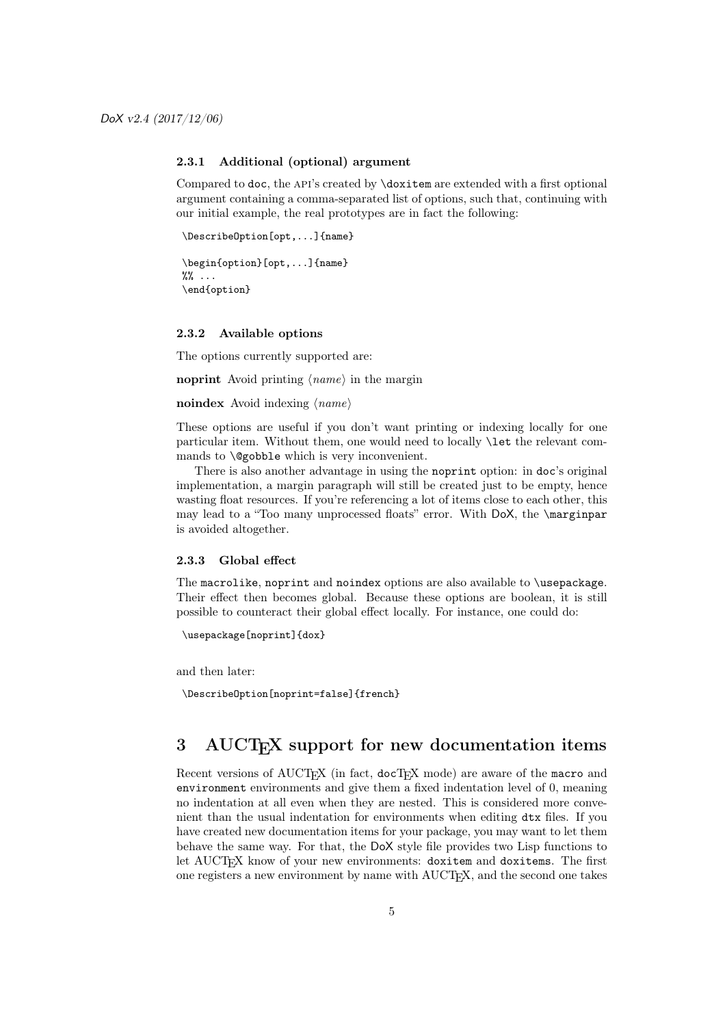#### 2.3.1 Additional (optional) argument

Compared to doc, the api's created by \doxitem are extended with a first optional argument containing a comma-separated list of options, such that, continuing with our initial example, the real prototypes are in fact the following:

```
\DescribeOption[opt,...]{name}
```

```
\begin{option}[opt,...]{name}
\frac{9\%}{10\%} ...
\end{option}
```
#### 2.3.2 Available options

The options currently supported are:

noprint Avoid printing  $\langle name \rangle$  in the margin

#### noindex Avoid indexing  $\langle name \rangle$

These options are useful if you don't want printing or indexing locally for one particular item. Without them, one would need to locally \let the relevant commands to \@gobble which is very inconvenient.

There is also another advantage in using the noprint option: in doc's original implementation, a margin paragraph will still be created just to be empty, hence wasting float resources. If you're referencing a lot of items close to each other, this may lead to a "Too many unprocessed floats" error. With DoX, the \marginpar is avoided altogether.

#### 2.3.3 Global effect

The macrolike, noprint and noindex options are also available to \usepackage. Their effect then becomes global. Because these options are boolean, it is still possible to counteract their global effect locally. For instance, one could do:

```
\usepackage[noprint]{dox}
```
and then later:

```
\DescribeOption[noprint=false]{french}
```
## 3 AUCT<sub>F</sub>X support for new documentation items

Recent versions of AUCT<sub>EX</sub> (in fact, docT<sub>EX</sub> mode) are aware of the macro and environment environments and give them a fixed indentation level of 0, meaning no indentation at all even when they are nested. This is considered more convenient than the usual indentation for environments when editing dtx files. If you have created new documentation items for your package, you may want to let them behave the same way. For that, the DoX style file provides two Lisp functions to let AUCT<sub>EX</sub> know of your new environments: doxitem and doxitems. The first one registers a new environment by name with AUCT<sub>EX</sub>, and the second one takes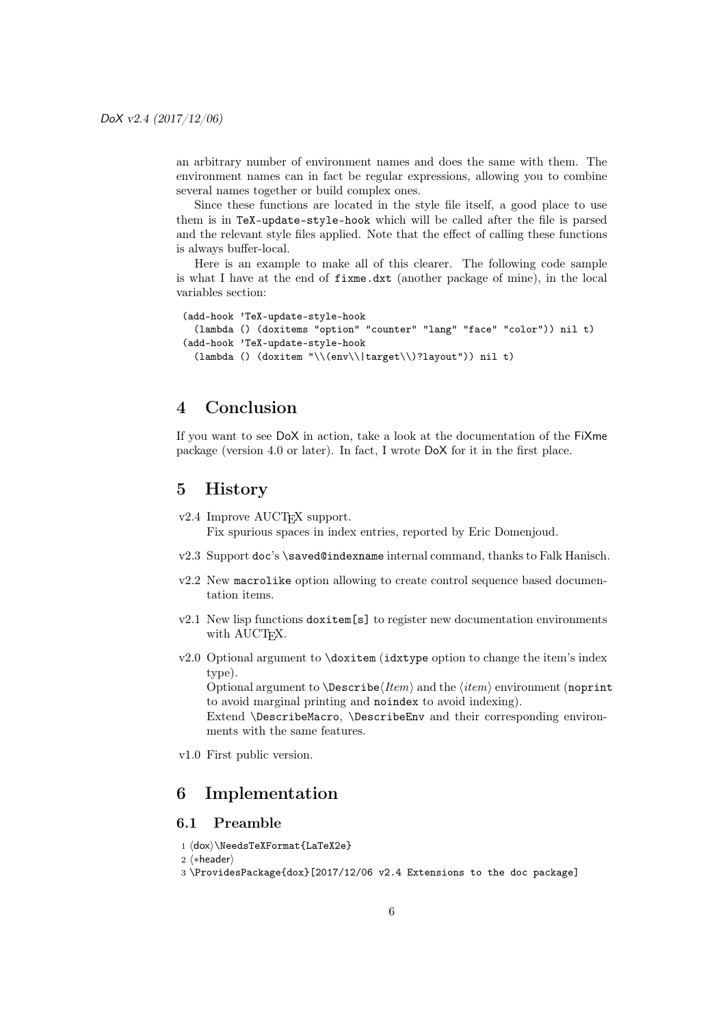an arbitrary number of environment names and does the same with them. The environment names can in fact be regular expressions, allowing you to combine several names together or build complex ones.

Since these functions are located in the style file itself, a good place to use them is in TeX-update-style-hook which will be called after the file is parsed and the relevant style files applied. Note that the effect of calling these functions is always buffer-local.

Here is an example to make all of this clearer. The following code sample is what I have at the end of fixme.dxt (another package of mine), in the local variables section:

```
(add-hook 'TeX-update-style-hook
 (lambda () (doxitems "option" "counter" "lang" "face" "color")) nil t)
(add-hook 'TeX-update-style-hook
 (lambda () (doxitem "\\(env\\|target\\)?layout")) nil t)
```
## 4 Conclusion

If you want to see DoX in action, take a look at the documentation of the FiXme package (version 4.0 or later). In fact, I wrote DoX for it in the first place.

## 5 History

v2.4 Improve AUCT<sub>EX</sub> support.

Fix spurious spaces in index entries, reported by Eric Domenjoud.

- v2.3 Support doc's \saved@indexname internal command, thanks to Falk Hanisch.
- v2.2 New macrolike option allowing to create control sequence based documentation items.
- v2.1 New lisp functions doxitem[s] to register new documentation environments with AUCT<sub>EX</sub>.
- v2.0 Optional argument to \doxitem (idxtype option to change the item's index type).

Optional argument to  $\text{Describe}\$  and the  $\langle item \rangle$  environment (noprint to avoid marginal printing and noindex to avoid indexing).

Extend \DescribeMacro, \DescribeEnv and their corresponding environments with the same features.

v1.0 First public version.

## 6 Implementation

### 6.1 Preamble

- $1 \langle$ dox $\rangle\$ NeedsTeXFormat{LaTeX2e}
- 2 (\*header)
- 3 \ProvidesPackage{dox}[2017/12/06 v2.4 Extensions to the doc package]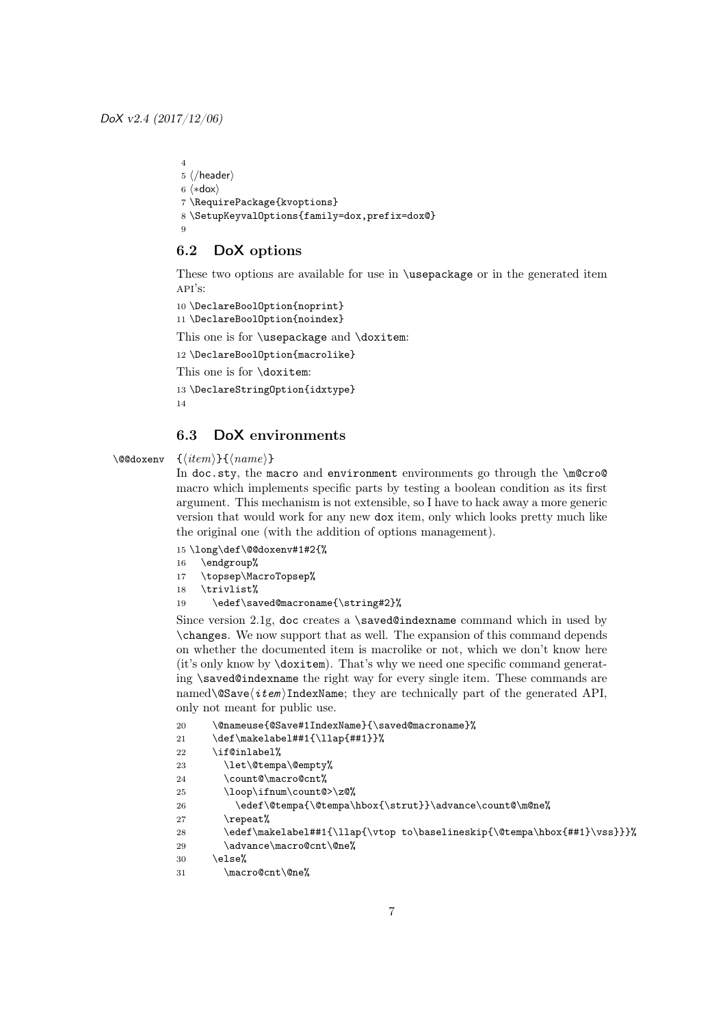```
4
5 \langle /header\rangle6 \langle *dox \rangle7 \RequirePackage{kvoptions}
8 \SetupKeyvalOptions{family=dox,prefix=dox@}
\alpha
```
### 6.2 DoX options

These two options are available for use in \usepackage or in the generated item  $API'S$ :

```
10 \DeclareBoolOption{noprint}
11 \DeclareBoolOption{noindex}
```
This one is for **\usepackage** and **\doxitem:** 

```
12 \DeclareBoolOption{macrolike}
```
This one is for \doxitem:

```
13 \DeclareStringOption{idxtype}
14
```
## 6.3 DoX environments

\@@doxenv {\item}}{\*name*}}

In doc.sty, the macro and environment environments go through the \m@cro@ macro which implements specific parts by testing a boolean condition as its first argument. This mechanism is not extensible, so I have to hack away a more generic version that would work for any new dox item, only which looks pretty much like the original one (with the addition of options management).

15 \long\def\@@doxenv#1#2{%

- 16 \endgroup%
- 17 \topsep\MacroTopsep%
- 18 \trivlist%
- 19 \edef\saved@macroname{\string#2}%

Since version 2.1g, doc creates a \saved@indexname command which in used by \changes. We now support that as well. The expansion of this command depends on whether the documented item is macrolike or not, which we don't know here (it's only know by \doxitem). That's why we need one specific command generating \saved@indexname the right way for every single item. These commands are named\@Savehitem iIndexName; they are technically part of the generated API, only not meant for public use.

```
20 \@nameuse{@Save#1IndexName}{\saved@macroname}%
21 \def\makelabel##1{\llap{##1}}%
22 \if@inlabel%
23 \let\@tempa\@empty%
24 \count@\macro@cnt%
25 \loop\ifnum\count@>\z@%
26 \edef\@tempa{\@tempa\hbox{\strut}}\advance\count@\m@ne%
27 \repeat%
28 \edef\makelabel##1{\llap{\vtop to\baselineskip{\@tempa\hbox{##1}\vss}}}%
29 \advance\macro@cnt\@ne%
30 \text{else}%
31 \macro@cnt\@ne%
```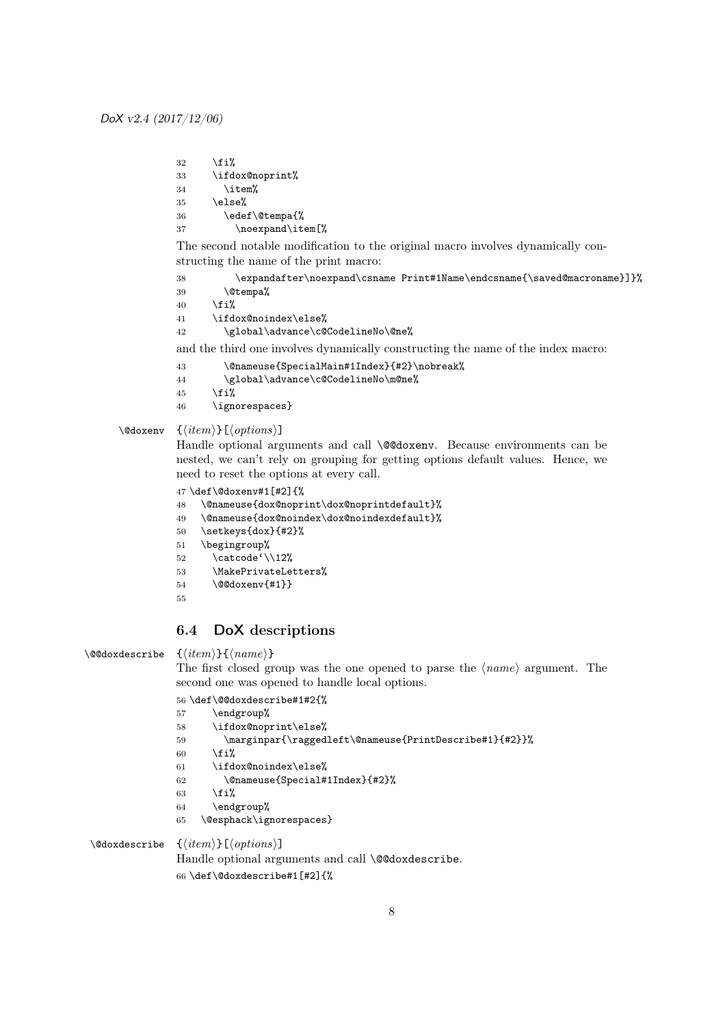32  $\overrightarrow{1\%}$ 33 \ifdox@noprint%  $34$  \item%  $35 \text{else}$ % 36 \edef\@tempa{% 37 \noexpand\item[%]

The second notable modification to the original macro involves dynamically constructing the name of the print macro:

38 \expandafter\noexpand\csname Print#1Name\endcsname{\saved@macroname}]}%

```
39 \@tempa%
```
40  $\forall$ fi%

41 \ifdox@noindex\else%

42 \global\advance\c@CodelineNo\@ne%

and the third one involves dynamically constructing the name of the index macro:

- 43 \@nameuse{SpecialMain#1Index}{#2}\nobreak%
- 44 \global\advance\c@CodelineNo\m@ne%
- 45  $\overleftrightarrow{1}$
- 46 \ignorespaces}

\@doxenv {\*item*\}[\*options*\]

Handle optional arguments and call **\@@doxenv**. Because environments can be nested, we can't rely on grouping for getting options default values. Hence, we need to reset the options at every call.

```
47 \def\@doxenv#1[#2]{%
```
- 48 \@nameuse{dox@noprint\dox@noprintdefault}%
- 49 \@nameuse{dox@noindex\dox@noindexdefault}%
- 50 \setkeys{dox}{#2}%
- 51 \begingroup%
- 52 \catcode'\\12%
- 53 \MakePrivateLetters%
- 54 \@@doxenv{#1}}
- 55

## 6.4 DoX descriptions

```
\@@doxdescribe \{\langle item \rangle\}\{\langle name \rangle\}
```
The first closed group was the one opened to parse the  $\langle name \rangle$  argument. The second one was opened to handle local options.

56 \def\@@doxdescribe#1#2{%

```
57 \endgroup%
58 \ifdox@noprint\else%
59 \marginpar{\raggedleft\@nameuse{PrintDescribe#1}{#2}}%
60 \mathcal{M}61 \ifdox@noindex\else%
62 \@nameuse{Special#1Index}{#2}%
63 \fi%
64 \endgroup%
65 \@esphack\ignorespaces}
```
\@doxdescribe  $\{\langle item \rangle\}$ [ $\langle options \rangle$ ]

Handle optional arguments and call \@@doxdescribe.

66 \def\@doxdescribe#1[#2]{%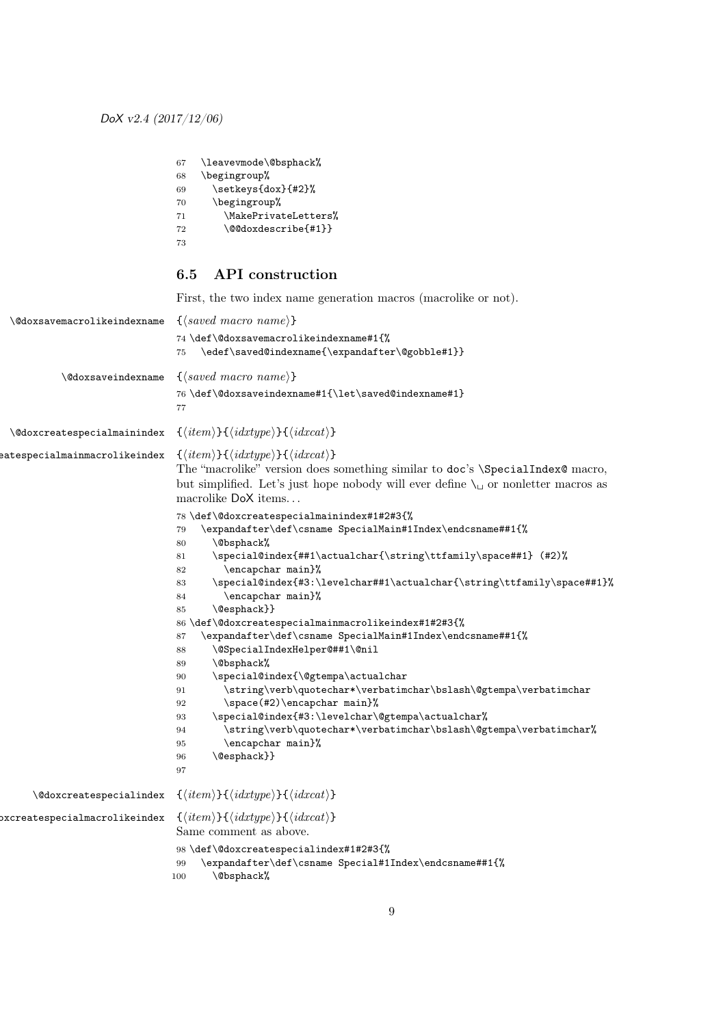| 67 | \leavevmode\@bsphack% |
|----|-----------------------|
| 68 | \begingroup%          |
| 69 | \setkeys{dox}{#2}%    |
| 70 | \begingroup%          |
| 71 | \MakePrivateLetters%  |
| 72 | \@@doxdescribe{#1}}   |
| 73 |                       |
|    |                       |

## 6.5 API construction

First, the two index name generation macros (macrolike or not).

| <i><b>\@doxsavemacrolikeindexname</b></i>    | $\{\langle saved~macro~name\rangle\}$<br>74 \def\@doxsavemacrolikeindexname#1{%<br>\edef\saved@indexname{\expandafter\@gobble#1}}<br>75                                                                                                                                                                                                                                                                                                                                                                                                                                                                                                                                                                                                                                                                                                                                                                         |
|----------------------------------------------|-----------------------------------------------------------------------------------------------------------------------------------------------------------------------------------------------------------------------------------------------------------------------------------------------------------------------------------------------------------------------------------------------------------------------------------------------------------------------------------------------------------------------------------------------------------------------------------------------------------------------------------------------------------------------------------------------------------------------------------------------------------------------------------------------------------------------------------------------------------------------------------------------------------------|
| <i><u><b>\@doxsaveindexname</b></u></i>      | $\{\langle saved~macro~name\rangle\}$<br>76 \def\@doxsaveindexname#1{\let\saved@indexname#1}<br>77                                                                                                                                                                                                                                                                                                                                                                                                                                                                                                                                                                                                                                                                                                                                                                                                              |
| <i><b>\@doxcreatespecialmainindex</b></i>    | $\{\langle item \rangle\}\{\langle idxtype \rangle\}\{\langle idxcat \rangle\}$                                                                                                                                                                                                                                                                                                                                                                                                                                                                                                                                                                                                                                                                                                                                                                                                                                 |
| eatespecialmainmacrolikeindex                | $\{\langle item \rangle\} \{\langle idxtype \rangle\} \{\langle idxcat \rangle\}$<br>The "macrolike" version does something similar to doc's \SpecialIndex@ macro,<br>but simplified. Let's just hope nobody will ever define $\setminus_{\sqcup}$ or nonletter macros as<br>macrolike DoX items                                                                                                                                                                                                                                                                                                                                                                                                                                                                                                                                                                                                                |
|                                              | 78 \def\@doxcreatespecialmainindex#1#2#3{%<br>\expandafter\def\csname SpecialMain#1Index\endcsname##1{%<br>79<br>80<br>\@bsphack%<br>\special@index{##1\actualchar{\string\ttfamily\space##1} (#2)%<br>81<br>\encapchar main}%<br>82<br>\special@index{#3:\levelchar##1\actualchar{\string\ttfamily\space##1}%<br>83<br>\encapchar main}%<br>84<br>\@esphack}}<br>85<br>86 \def\@doxcreatespecialmainmacrolikeindex#1#2#3{%<br>\expandafter\def\csname SpecialMain#1Index\endcsname##1{%<br>87<br>\@SpecialIndexHelper@##1\@nil<br>88<br>\@bsphack%<br>89<br>\special@index{\@gtempa\actualchar<br>90<br>\string\verb\quotechar*\verbatimchar\bslash\@gtempa\verbatimchar<br>91<br>\space(#2)\encapchar main}%<br>92<br>\special@index{#3:\levelchar\@gtempa\actualchar%<br>93<br>\string\verb\quotechar*\verbatimchar\bslash\@gtempa\verbatimchar%<br>94<br>\encapchar main}%<br>95<br>\@esphack}}<br>96<br>97 |
| <i><u><b>\@doxcreatespecialindex</b></u></i> | $\{\langle item \rangle\} \{\langle idxtype \rangle\} \{\langle idxcat \rangle\}$                                                                                                                                                                                                                                                                                                                                                                                                                                                                                                                                                                                                                                                                                                                                                                                                                               |
| pxcreatespecialmacrolikeindex                | $\{\langle item \rangle\} \{\langle idxtype \rangle\} \{\langle idxcat \rangle\}$<br>Same comment as above.<br>98\def\@doxcreatespecialindex#1#2#3{%                                                                                                                                                                                                                                                                                                                                                                                                                                                                                                                                                                                                                                                                                                                                                            |
|                                              | \expandafter\def\csname Special#1Index\endcsname##1{%<br>99<br>\@bsphack%<br>100                                                                                                                                                                                                                                                                                                                                                                                                                                                                                                                                                                                                                                                                                                                                                                                                                                |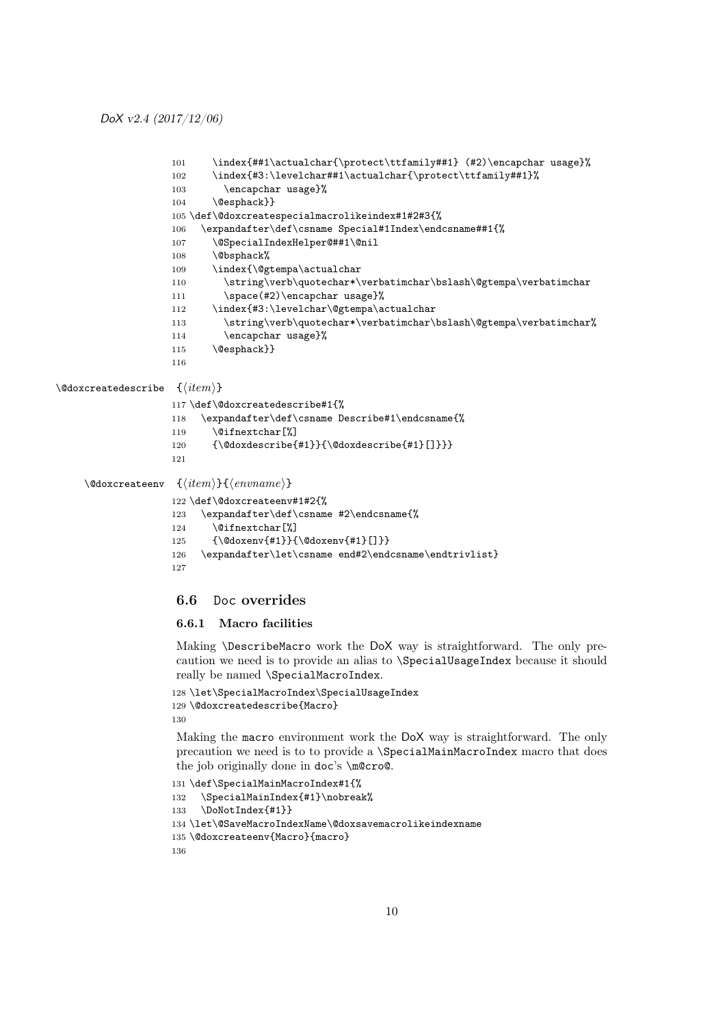```
101 \index{##1\actualchar{\protect\ttfamily##1} (#2)\encapchar usage}%
                   102 \index{#3:\levelchar##1\actualchar{\protect\ttfamily##1}%
                   103 \encapchar usage}%
                   104 \@esphack}}
                   105 \def\@doxcreatespecialmacrolikeindex#1#2#3{%
                   106 \expandafter\def\csname Special#1Index\endcsname##1{%
                   107 \@SpecialIndexHelper@##1\@nil
                   108 \@bsphack%
                   109 \index{\@gtempa\actualchar
                   110 \string\verb\quotechar*\verbatimchar\bslash\@gtempa\verbatimchar
                   111 \space(#2)\encapchar usage}%
                   112 \index{#3:\levelchar\@gtempa\actualchar
                   113 \string\verb\quotechar*\verbatimchar\bslash\@gtempa\verbatimchar%
                   114 \encapchar usage}%
                   115 \@esphack}}
                   116
\{\langle item \rangle\}117 \def\@doxcreatedescribe#1{%
                   118 \expandafter\def\csname Describe#1\endcsname{%
                   119 \@ifnextchar[%]
                   120 {\@doxdescribe{#1}}{\@doxdescribe{#1}[]}}}
                   121
    \@doxcreateenv {\item}}{\\envname}}
                   122 \def\@doxcreateenv#1#2{%
                   123 \expandafter\def\csname #2\endcsname{%
                   124 \@ifnextchar[%]
                   125 {\@doxenv{#1}}{\@doxenv{#1}[]}}
                   126 \expandafter\let\csname end#2\endcsname\endtrivlist}
                   127
```
### 6.6 Doc overrides

### 6.6.1 Macro facilities

Making \DescribeMacro work the DoX way is straightforward. The only precaution we need is to provide an alias to \SpecialUsageIndex because it should really be named \SpecialMacroIndex.

```
128 \let\SpecialMacroIndex\SpecialUsageIndex
129 \@doxcreatedescribe{Macro}
130
```
Making the macro environment work the DoX way is straightforward. The only precaution we need is to to provide a \SpecialMainMacroIndex macro that does the job originally done in doc's \m@cro@.

```
131 \def\SpecialMainMacroIndex#1{%
132 \SpecialMainIndex{#1}\nobreak%
133 \DoNotIndex{#1}}
134 \let\@SaveMacroIndexName\@doxsavemacrolikeindexname
135 \@doxcreateenv{Macro}{macro}
136
```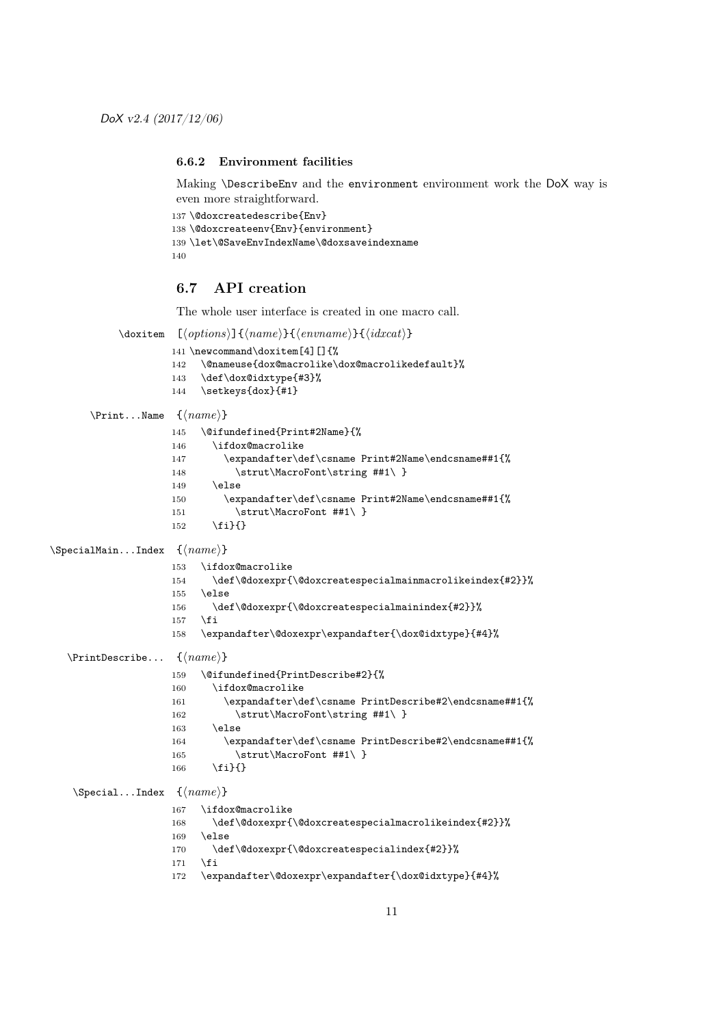#### 6.6.2 Environment facilities

Making \DescribeEnv and the environment environment work the DoX way is even more straightforward.

```
137 \@doxcreatedescribe{Env}
138 \@doxcreateenv{Env}{environment}
139 \let\@SaveEnvIndexName\@doxsaveindexname
140
```
## 6.7 API creation

The whole user interface is created in one macro call.

```
\doxitem [\{options]{\{name\}}{\{envname\}}{\idxcat}}
                    141 \newcommand\doxitem[4][]{%
                    142 \@nameuse{dox@macrolike\dox@macrolikedefault}%
                    143 \def\dox@idxtype{#3}%
                    144 \setkeys{dox}{#1}
      \Print...Name \ \{ \langle name \rangle \}145 \@ifundefined{Print#2Name}{%
                    146 \ifdox@macrolike
                    147 \expandafter\def\csname Print#2Name\endcsname##1{%
                    148 \strut\MacroFont\string ##1\ }
                    149 \else
                    150 \expandafter\def\csname Print#2Name\endcsname##1{%
                    151 \strut\MacroFont ##1\ }
                    152 \fi}{}
\SpecialMain...Index \{<i>name</i>\}153 \ifdox@macrolike
                    154 \def\@doxexpr{\@doxcreatespecialmainmacrolikeindex{#2}}%
                    155 \else
                    156 \def\@doxexpr{\@doxcreatespecialmainindex{#2}}%
                    157 \fi
                    158 \expandafter\@doxexpr\expandafter{\dox@idxtype}{#4}%
  \PrintDescribe... \quad {\langle name \rangle}159 \@ifundefined{PrintDescribe#2}{%
                    160 \ifdox@macrolike
                    161 \expandafter\def\csname PrintDescribe#2\endcsname##1{%
                    162 \strut\MacroFont\string ##1\ }
                    163 \else
                    164 \expandafter\def\csname PrintDescribe#2\endcsname##1{%
                    165 \strut\MacroFont ##1\ }
                    166 \fi}{}
   \Special...Index \{<i>name</i>\}167 \ifdox@macrolike
                    168 \def\@doxexpr{\@doxcreatespecialmacrolikeindex{#2}}%
                    169 \else
                    170 \def\@doxexpr{\@doxcreatespecialindex{#2}}%
                    171 \fi
                    172 \expandafter\@doxexpr\expandafter{\dox@idxtype}{#4}%
```